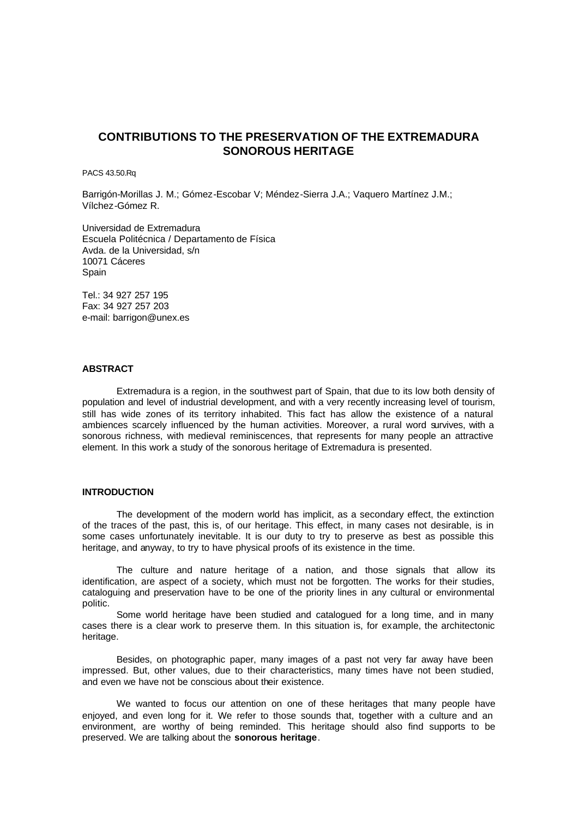# **CONTRIBUTIONS TO THE PRESERVATION OF THE EXTREMADURA SONOROUS HERITAGE**

PACS 43.50.Rq

Barrigón-Morillas J. M.; Gómez-Escobar V; Méndez-Sierra J.A.; Vaquero Martínez J.M.; Vílchez-Gómez R.

Universidad de Extremadura Escuela Politécnica / Departamento de Física Avda. de la Universidad, s/n 10071 Cáceres **Spain** 

Tel.: 34 927 257 195 Fax: 34 927 257 203 e-mail: barrigon@unex.es

## **ABSTRACT**

Extremadura is a region, in the southwest part of Spain, that due to its low both density of population and level of industrial development, and with a very recently increasing level of tourism, still has wide zones of its territory inhabited. This fact has allow the existence of a natural ambiences scarcely influenced by the human activities. Moreover, a rural word survives, with a sonorous richness, with medieval reminiscences, that represents for many people an attractive element. In this work a study of the sonorous heritage of Extremadura is presented.

#### **INTRODUCTION**

The development of the modern world has implicit, as a secondary effect, the extinction of the traces of the past, this is, of our heritage. This effect, in many cases not desirable, is in some cases unfortunately inevitable. It is our duty to try to preserve as best as possible this heritage, and anyway, to try to have physical proofs of its existence in the time.

The culture and nature heritage of a nation, and those signals that allow its identification, are aspect of a society, which must not be forgotten. The works for their studies, cataloguing and preservation have to be one of the priority lines in any cultural or environmental politic.

Some world heritage have been studied and catalogued for a long time, and in many cases there is a clear work to preserve them. In this situation is, for example, the architectonic heritage.

Besides, on photographic paper, many images of a past not very far away have been impressed. But, other values, due to their characteristics, many times have not been studied, and even we have not be conscious about their existence.

We wanted to focus our attention on one of these heritages that many people have enjoyed, and even long for it. We refer to those sounds that, together with a culture and an environment, are worthy of being reminded. This heritage should also find supports to be preserved. We are talking about the **sonorous heritage**.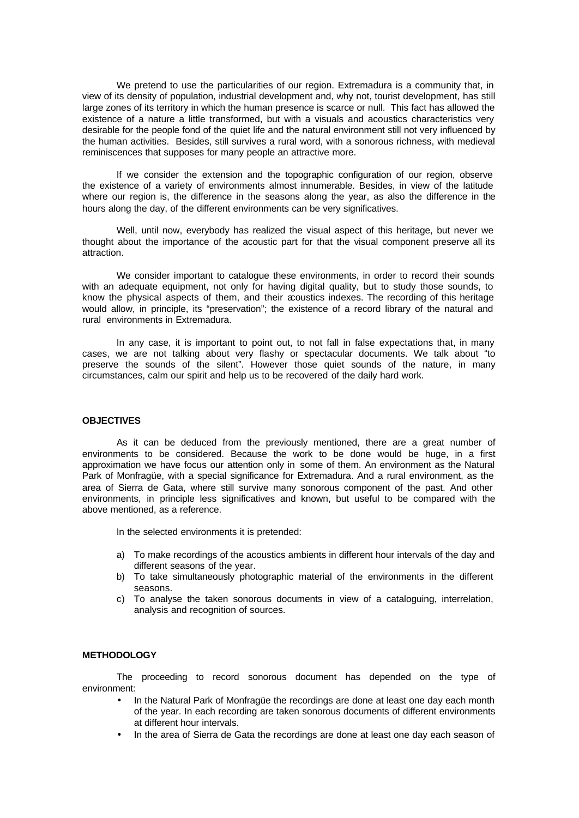We pretend to use the particularities of our region. Extremadura is a community that, in view of its density of population, industrial development and, why not, tourist development, has still large zones of its territory in which the human presence is scarce or null. This fact has allowed the existence of a nature a little transformed, but with a visuals and acoustics characteristics very desirable for the people fond of the quiet life and the natural environment still not very influenced by the human activities. Besides, still survives a rural word, with a sonorous richness, with medieval reminiscences that supposes for many people an attractive more.

If we consider the extension and the topographic configuration of our region, observe the existence of a variety of environments almost innumerable. Besides, in view of the latitude where our region is, the difference in the seasons along the year, as also the difference in the hours along the day, of the different environments can be very significatives.

Well, until now, everybody has realized the visual aspect of this heritage, but never we thought about the importance of the acoustic part for that the visual component preserve all its attraction.

We consider important to catalogue these environments, in order to record their sounds with an adequate equipment, not only for having digital quality, but to study those sounds, to know the physical aspects of them, and their acoustics indexes. The recording of this heritage would allow, in principle, its "preservation"; the existence of a record library of the natural and rural environments in Extremadura.

In any case, it is important to point out, to not fall in false expectations that, in many cases, we are not talking about very flashy or spectacular documents. We talk about "to preserve the sounds of the silent". However those quiet sounds of the nature, in many circumstances, calm our spirit and help us to be recovered of the daily hard work.

### **OBJECTIVES**

As it can be deduced from the previously mentioned, there are a great number of environments to be considered. Because the work to be done would be huge, in a first approximation we have focus our attention only in some of them. An environment as the Natural Park of Monfragüe, with a special significance for Extremadura. And a rural environment, as the area of Sierra de Gata, where still survive many sonorous component of the past. And other environments, in principle less significatives and known, but useful to be compared with the above mentioned, as a reference.

In the selected environments it is pretended:

- a) To make recordings of the acoustics ambients in different hour intervals of the day and different seasons of the year.
- b) To take simultaneously photographic material of the environments in the different seasons.
- c) To analyse the taken sonorous documents in view of a cataloguing, interrelation, analysis and recognition of sources.

### **METHODOLOGY**

The proceeding to record sonorous document has depended on the type of environment:

- In the Natural Park of Monfragüe the recordings are done at least one day each month of the year. In each recording are taken sonorous documents of different environments at different hour intervals.
- In the area of Sierra de Gata the recordings are done at least one day each season of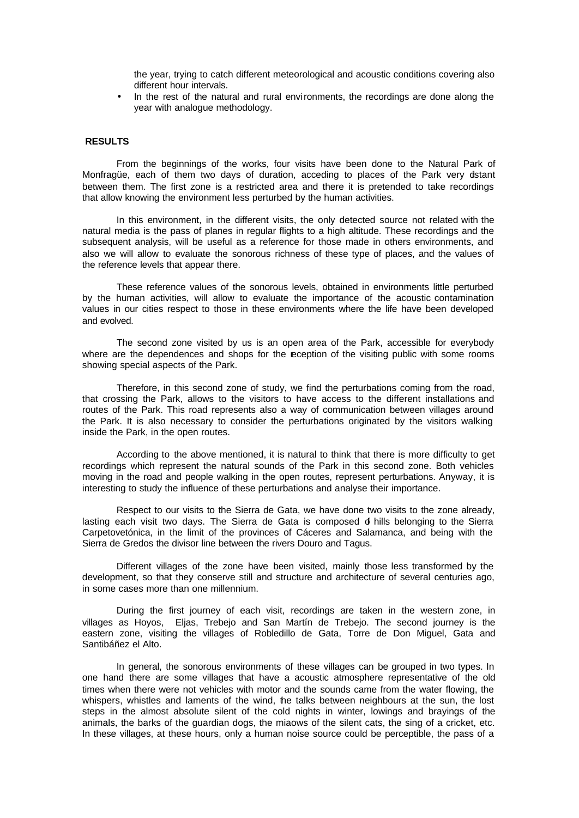the year, trying to catch different meteorological and acoustic conditions covering also different hour intervals.

• In the rest of the natural and rural environments, the recordings are done along the year with analogue methodology.

#### **RESULTS**

From the beginnings of the works, four visits have been done to the Natural Park of Monfragüe, each of them two days of duration, acceding to places of the Park very distant between them. The first zone is a restricted area and there it is pretended to take recordings that allow knowing the environment less perturbed by the human activities.

In this environment, in the different visits, the only detected source not related with the natural media is the pass of planes in regular flights to a high altitude. These recordings and the subsequent analysis, will be useful as a reference for those made in others environments, and also we will allow to evaluate the sonorous richness of these type of places, and the values of the reference levels that appear there.

These reference values of the sonorous levels, obtained in environments little perturbed by the human activities, will allow to evaluate the importance of the acoustic contamination values in our cities respect to those in these environments where the life have been developed and evolved.

The second zone visited by us is an open area of the Park, accessible for everybody where are the dependences and shops for the reception of the visiting public with some rooms showing special aspects of the Park.

Therefore, in this second zone of study, we find the perturbations coming from the road, that crossing the Park, allows to the visitors to have access to the different installations and routes of the Park. This road represents also a way of communication between villages around the Park. It is also necessary to consider the perturbations originated by the visitors walking inside the Park, in the open routes.

According to the above mentioned, it is natural to think that there is more difficulty to get recordings which represent the natural sounds of the Park in this second zone. Both vehicles moving in the road and people walking in the open routes, represent perturbations. Anyway, it is interesting to study the influence of these perturbations and analyse their importance.

Respect to our visits to the Sierra de Gata, we have done two visits to the zone already, lasting each visit two days. The Sierra de Gata is composed of hills belonging to the Sierra Carpetovetónica, in the limit of the provinces of Cáceres and Salamanca, and being with the Sierra de Gredos the divisor line between the rivers Douro and Tagus.

Different villages of the zone have been visited, mainly those less transformed by the development, so that they conserve still and structure and architecture of several centuries ago, in some cases more than one millennium.

During the first journey of each visit, recordings are taken in the western zone, in villages as Hoyos, Eljas, Trebejo and San Martín de Trebejo. The second journey is the eastern zone, visiting the villages of Robledillo de Gata, Torre de Don Miguel, Gata and Santibáñez el Alto.

In general, the sonorous environments of these villages can be grouped in two types. In one hand there are some villages that have a acoustic atmosphere representative of the old times when there were not vehicles with motor and the sounds came from the water flowing, the whispers, whistles and laments of the wind, the talks between neighbours at the sun, the lost steps in the almost absolute silent of the cold nights in winter, lowings and brayings of the animals, the barks of the guardian dogs, the miaows of the silent cats, the sing of a cricket, etc. In these villages, at these hours, only a human noise source could be perceptible, the pass of a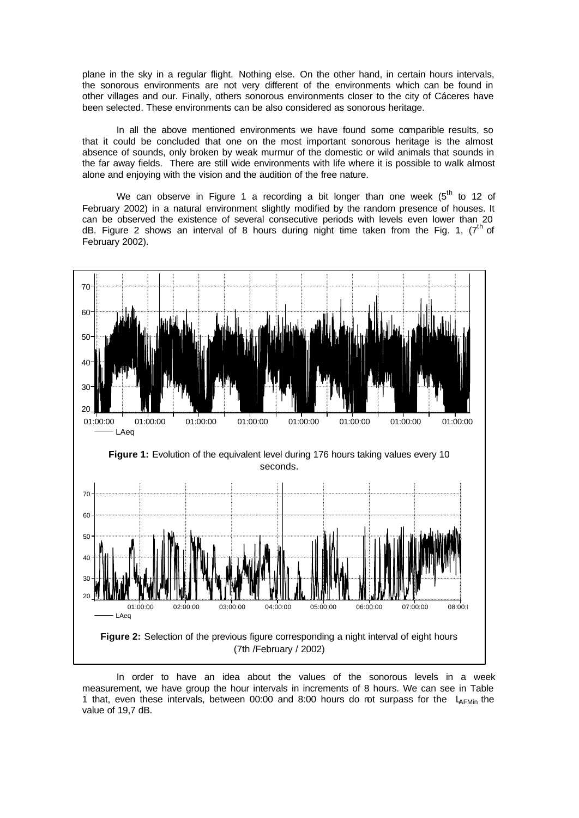plane in the sky in a regular flight. Nothing else. On the other hand, in certain hours intervals, the sonorous environments are not very different of the environments which can be found in other villages and our. Finally, others sonorous environments closer to the city of Cáceres have been selected. These environments can be also considered as sonorous heritage.

In all the above mentioned environments we have found some comparible results, so that it could be concluded that one on the most important sonorous heritage is the almost absence of sounds, only broken by weak murmur of the domestic or wild animals that sounds in the far away fields. There are still wide environments with life where it is possible to walk almost alone and enjoying with the vision and the audition of the free nature.

We can observe in Figure 1 a recording a bit longer than one week  $(5<sup>th</sup>$  to 12 of February 2002) in a natural environment slightly modified by the random presence of houses. It can be observed the existence of several consecutive periods with levels even lower than 20 dB. Figure 2 shows an interval of 8 hours during night time taken from the Fig. 1,  $7<sup>th</sup>$  of February 2002).



In order to have an idea about the values of the sonorous levels in a week measurement, we have group the hour intervals in increments of 8 hours. We can see in Table 1 that, even these intervals, between 00:00 and 8:00 hours do not surpass for the  $L_{AFMin}$  the value of 19,7 dB.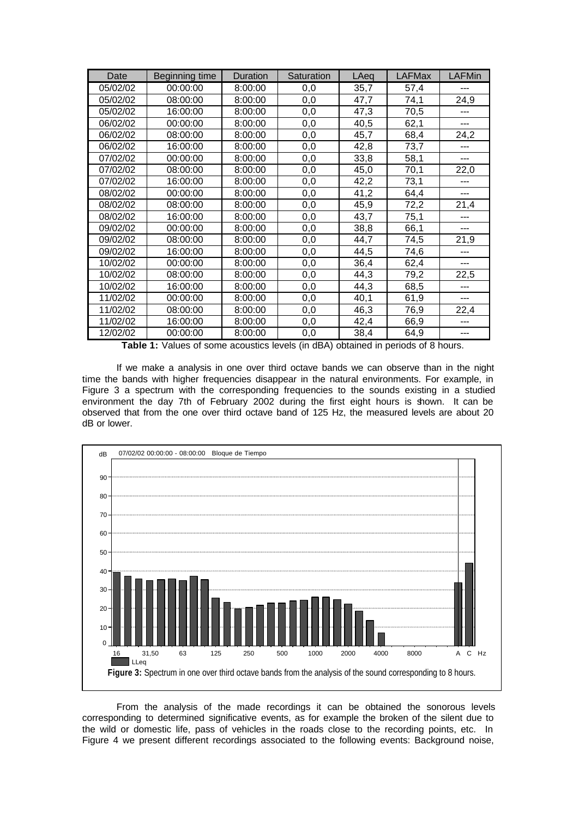| Date     | <b>Beginning time</b> | Duration | Saturation | LAeq              | <b>LAFMax</b> | <b>LAFMin</b> |
|----------|-----------------------|----------|------------|-------------------|---------------|---------------|
| 05/02/02 | 00:00:00              | 8:00:00  | 0,0        | 35,7              | 57,4          | $---$         |
| 05/02/02 | 08:00:00              | 8:00:00  | 0,0        | 47,7              | 74,1          | 24,9          |
| 05/02/02 | 16:00:00              | 8:00:00  | 0,0        | 47,3              | 70,5          |               |
| 06/02/02 | 00:00:00              | 8:00:00  | 0,0        | 40,5              | 62,1          | ---           |
| 06/02/02 | 08:00:00              | 8:00:00  | 0,0        | 45,7              | 68,4          | 24,2          |
| 06/02/02 | 16:00:00              | 8:00:00  | 0,0        | 42,8              | 73,7          | $---$         |
| 07/02/02 | 00:00:00              | 8:00:00  | 0,0        | 33,8              | 58,1          | ---           |
| 07/02/02 | 08:00:00              | 8:00:00  | 0,0        | 45,0              | 70,1          | 22,0          |
| 07/02/02 | 16:00:00              | 8:00:00  | 0,0        | $\overline{42,2}$ | 73,1          |               |
| 08/02/02 | 00:00:00              | 8:00:00  | 0,0        | 41,2              | 64,4          | $---$         |
| 08/02/02 | 08:00:00              | 8:00:00  | 0,0        | 45,9              | 72,2          | 21,4          |
| 08/02/02 | 16:00:00              | 8:00:00  | 0,0        | 43,7              | 75,1          |               |
| 09/02/02 | 00:00:00              | 8:00:00  | 0,0        | 38,8              | 66,1          | ---           |
| 09/02/02 | 08:00:00              | 8:00:00  | 0,0        | 44,7              | 74,5          | 21,9          |
| 09/02/02 | 16:00:00              | 8:00:00  | 0,0        | 44,5              | 74,6          | ---           |
| 10/02/02 | 00:00:00              | 8:00:00  | 0,0        | 36,4              | 62,4          | ---           |
| 10/02/02 | 08:00:00              | 8:00:00  | 0,0        | 44,3              | 79,2          | 22,5          |
| 10/02/02 | 16:00:00              | 8:00:00  | 0,0        | 44,3              | 68,5          |               |
| 11/02/02 | 00:00:00              | 8:00:00  | 0,0        | 40,1              | 61,9          | $---$         |
| 11/02/02 | 08:00:00              | 8:00:00  | 0,0        | 46,3              | 76,9          | 22,4          |
| 11/02/02 | 16:00:00              | 8:00:00  | 0,0        | 42,4              | 66,9          |               |
| 12/02/02 | 00:00:00              | 8:00:00  | 0,0        | 38,4              | 64,9          |               |

**Table 1:** Values of some acoustics levels (in dBA) obtained in periods of 8 hours.

If we make a analysis in one over third octave bands we can observe than in the night time the bands with higher frequencies disappear in the natural environments. For example, in Figure 3 a spectrum with the corresponding frequencies to the sounds existing in a studied environment the day 7th of February 2002 during the first eight hours is shown. It can be observed that from the one over third octave band of 125 Hz, the measured levels are about 20 dB or lower.



From the analysis of the made recordings it can be obtained the sonorous levels corresponding to determined significative events, as for example the broken of the silent due to the wild or domestic life, pass of vehicles in the roads close to the recording points, etc. In Figure 4 we present different recordings associated to the following events: Background noise,